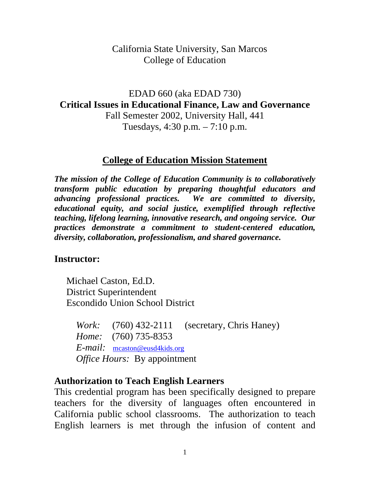#### California State University, San Marcos College of Education

EDAD 660 (aka EDAD 730) **Critical Issues in Educational Finance, Law and Governance** Fall Semester 2002, University Hall, 441 Tuesdays, 4:30 p.m. – 7:10 p.m.

#### **College of Education Mission Statement**

*The mission of the College of Education Community is to collaboratively transform public education by preparing thoughtful educators and advancing professional practices. We are committed to diversity, educational equity, and social justice, exemplified through reflective teaching, lifelong learning, innovative research, and ongoing service. Our practices demonstrate a commitment to student-centered education, diversity, collaboration, professionalism, and shared governance.*

#### **Instructor:**

Michael Caston, Ed.D. District Superintendent Escondido Union School District

*Work:* (760) 432-2111 (secretary, Chris Haney) *Home:* (760) 735-8353 *E-mail:* [mcaston@eusd4kids.org](mailto:mcaston@eusd4kids.org) *Office Hours:* By appointment

#### **Authorization to Teach English Learners**

This credential program has been specifically designed to prepare teachers for the diversity of languages often encountered in California public school classrooms. The authorization to teach English learners is met through the infusion of content and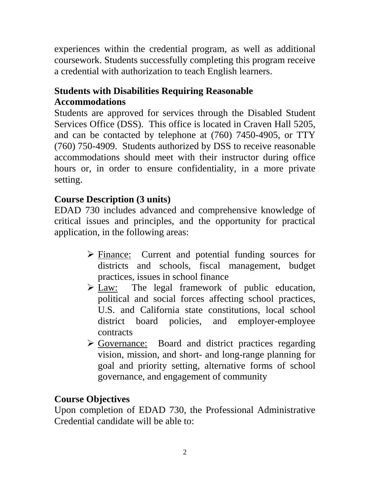experiences within the credential program, as well as additional coursework. Students successfully completing this program receive a credential with authorization to teach English learners.

## **Students with Disabilities Requiring Reasonable Accommodations**

Students are approved for services through the Disabled Student Services Office (DSS). This office is located in Craven Hall 5205, and can be contacted by telephone at (760) 7450-4905, or TTY (760) 750-4909. Students authorized by DSS to receive reasonable accommodations should meet with their instructor during office hours or, in order to ensure confidentiality, in a more private setting.

# **Course Description (3 units)**

EDAD 730 includes advanced and comprehensive knowledge of critical issues and principles, and the opportunity for practical application, in the following areas:

- $\triangleright$  Finance: Current and potential funding sources for districts and schools, fiscal management, budget practices, issues in school finance
- Law: The legal framework of public education, political and social forces affecting school practices, U.S. and California state constitutions, local school district board policies, and employer-employee contracts
- > Governance: Board and district practices regarding vision, mission, and short- and long-range planning for goal and priority setting, alternative forms of school governance, and engagement of community

# **Course Objectives**

Upon completion of EDAD 730, the Professional Administrative Credential candidate will be able to: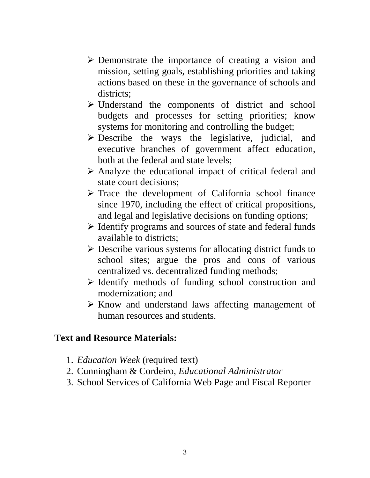- $\triangleright$  Demonstrate the importance of creating a vision and mission, setting goals, establishing priorities and taking actions based on these in the governance of schools and districts:
- $\triangleright$  Understand the components of district and school budgets and processes for setting priorities; know systems for monitoring and controlling the budget;
- $\triangleright$  Describe the ways the legislative, judicial, and executive branches of government affect education, both at the federal and state levels;
- $\triangleright$  Analyze the educational impact of critical federal and state court decisions;
- $\triangleright$  Trace the development of California school finance since 1970, including the effect of critical propositions, and legal and legislative decisions on funding options;
- $\triangleright$  Identify programs and sources of state and federal funds available to districts;
- $\triangleright$  Describe various systems for allocating district funds to school sites; argue the pros and cons of various centralized vs. decentralized funding methods;
- $\triangleright$  Identify methods of funding school construction and modernization; and
- $\triangleright$  Know and understand laws affecting management of human resources and students.

## **Text and Resource Materials:**

- 1. *Education Week* (required text)
- 2. Cunningham & Cordeiro, *Educational Administrator*
- 3. School Services of California Web Page and Fiscal Reporter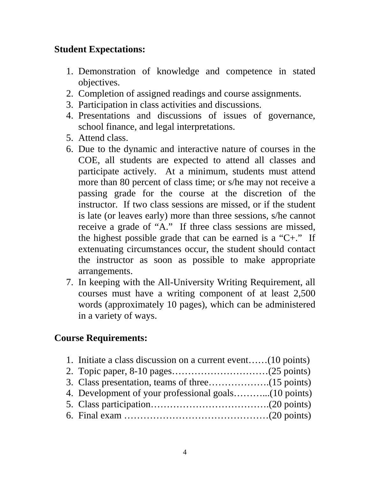## **Student Expectations:**

- 1. Demonstration of knowledge and competence in stated objectives.
- 2. Completion of assigned readings and course assignments.
- 3. Participation in class activities and discussions.
- 4. Presentations and discussions of issues of governance, school finance, and legal interpretations.
- 5. Attend class.
- 6. Due to the dynamic and interactive nature of courses in the COE, all students are expected to attend all classes and participate actively. At a minimum, students must attend more than 80 percent of class time; or s/he may not receive a passing grade for the course at the discretion of the instructor. If two class sessions are missed, or if the student is late (or leaves early) more than three sessions, s/he cannot receive a grade of "A." If three class sessions are missed, the highest possible grade that can be earned is a " $C+.$ " If extenuating circumstances occur, the student should contact the instructor as soon as possible to make appropriate arrangements.
- 7. In keeping with the All-University Writing Requirement, all courses must have a writing component of at least 2,500 words (approximately 10 pages), which can be administered in a variety of ways.

## **Course Requirements:**

1. Initiate a class discussion on a current event……(10 points) 2. Topic paper, 8-10 pages…………………………(25 points) 3. Class presentation, teams of three……………….(15 points) 4. Development of your professional goals………...(10 points) 5. Class participation……………………………….(20 points) 6. Final exam ………………………………………(20 points)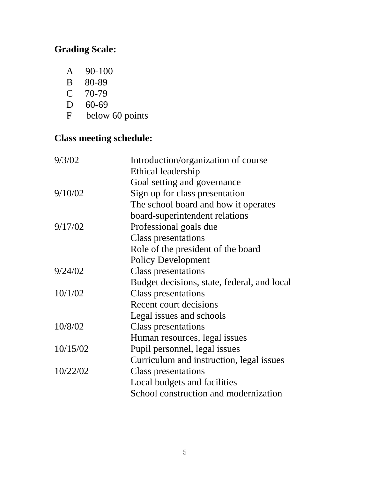# **Grading Scale:**

- A 90-100<br>B 80-89
- B 80-89<br>C 70-79
- 70-79
- 
- D 60-69<br>F below below 60 points

# **Class meeting schedule:**

| 9/3/02   | Introduction/organization of course         |
|----------|---------------------------------------------|
|          | Ethical leadership                          |
|          | Goal setting and governance                 |
| 9/10/02  | Sign up for class presentation              |
|          | The school board and how it operates        |
|          | board-superintendent relations              |
| 9/17/02  | Professional goals due                      |
|          | <b>Class presentations</b>                  |
|          | Role of the president of the board          |
|          | <b>Policy Development</b>                   |
| 9/24/02  | <b>Class presentations</b>                  |
|          | Budget decisions, state, federal, and local |
| 10/1/02  | <b>Class presentations</b>                  |
|          | Recent court decisions                      |
|          | Legal issues and schools                    |
| 10/8/02  | Class presentations                         |
|          | Human resources, legal issues               |
| 10/15/02 | Pupil personnel, legal issues               |
|          | Curriculum and instruction, legal issues    |
| 10/22/02 | Class presentations                         |
|          | Local budgets and facilities                |
|          | School construction and modernization       |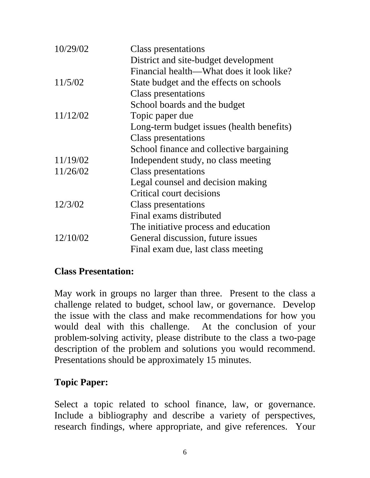| 10/29/02 | <b>Class presentations</b>                |
|----------|-------------------------------------------|
|          | District and site-budget development      |
|          | Financial health—What does it look like?  |
| 11/5/02  | State budget and the effects on schools   |
|          | <b>Class presentations</b>                |
|          | School boards and the budget              |
| 11/12/02 | Topic paper due                           |
|          | Long-term budget issues (health benefits) |
|          | <b>Class presentations</b>                |
|          | School finance and collective bargaining  |
| 11/19/02 | Independent study, no class meeting       |
| 11/26/02 | <b>Class presentations</b>                |
|          | Legal counsel and decision making         |
|          | Critical court decisions                  |
| 12/3/02  | Class presentations                       |
|          | Final exams distributed                   |
|          | The initiative process and education      |
| 12/10/02 | General discussion, future issues         |
|          | Final exam due, last class meeting        |

#### **Class Presentation:**

May work in groups no larger than three. Present to the class a challenge related to budget, school law, or governance. Develop the issue with the class and make recommendations for how you would deal with this challenge. At the conclusion of your problem-solving activity, please distribute to the class a two-page description of the problem and solutions you would recommend. Presentations should be approximately 15 minutes.

#### **Topic Paper:**

Select a topic related to school finance, law, or governance. Include a bibliography and describe a variety of perspectives, research findings, where appropriate, and give references. Your